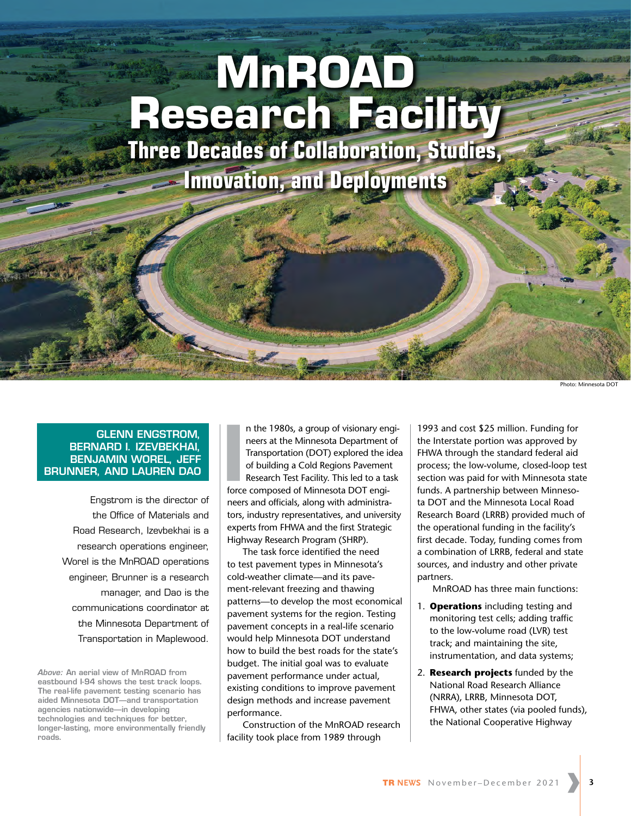# **MnROAD Research Facility**

**Three Decades of Collaboration, Studies, Innovation, and Deployments** 

Photo: Minnesota DO

## **GLENN ENGSTROM, BERNARD I. IZEVBEKHAI, BENJAMIN WOREL, JEFF BRUNNER, AND LAUREN DAO**

Engstrom is the director of the Office of Materials and Road Research, Izevbekhai is a research operations engineer, Worel is the MnROAD operations engineer, Brunner is a research manager, and Dao is the communications coordinator at the Minnesota Department of Transportation in Maplewood. **I**<br> **I**<br> **I**<br> **I**<br> **I**<br> **I** n the 1980s, a group of visionary engineers at the Minnesota Department of Transportation (DOT) explored the idea of building a Cold Regions Pavement Research Test Facility. This led to a task force composed of Minnesota DOT engineers and officials, along with administrators, industry representatives, and university experts from FHWA and the first Strategic Highway Research Program (SHRP).

The task force identified the need to test pavement types in Minnesota's cold-weather climate—and its pavement-relevant freezing and thawing patterns—to develop the most economical pavement systems for the region. Testing pavement concepts in a real-life scenario would help Minnesota DOT understand how to build the best roads for the state's budget. The initial goal was to evaluate pavement performance under actual, existing conditions to improve pavement design methods and increase pavement performance.

Construction of the MnROAD research facility took place from 1989 through

1993 and cost \$25 million. Funding for the Interstate portion was approved by FHWA through the standard federal aid process; the low-volume, closed-loop test section was paid for with Minnesota state funds. A partnership between Minnesota DOT and the Minnesota Local Road Research Board (LRRB) provided much of the operational funding in the facility's first decade. Today, funding comes from a combination of LRRB, federal and state sources, and industry and other private partners.

MnROAD has three main functions:

- 1. **Operations** including testing and monitoring test cells; adding traffic to the low-volume road (LVR) test track; and maintaining the site, instrumentation, and data systems;
- 2. **Research projects** funded by the National Road Research Alliance (NRRA), LRRB, Minnesota DOT, FHWA, other states (via pooled funds), the National Cooperative Highway

Above: An aerial view of MnROAD from<br>
assbound 194 shows the test track loops.<br>
The real-life pavement teesting scenario has<br>
and the set track loops.<br>
The real-life pavement teesting scenario has<br>
and Mariod Sumpose and t *Above:* **An aerial view of MnROAD from eastbound I-94 shows the test track loops. The real-life pavement testing scenario has aided Minnesota DOT—and transportation agencies nationwide—in developing technologies and techniques for better, longer-lasting, more environmentally friendly roads.**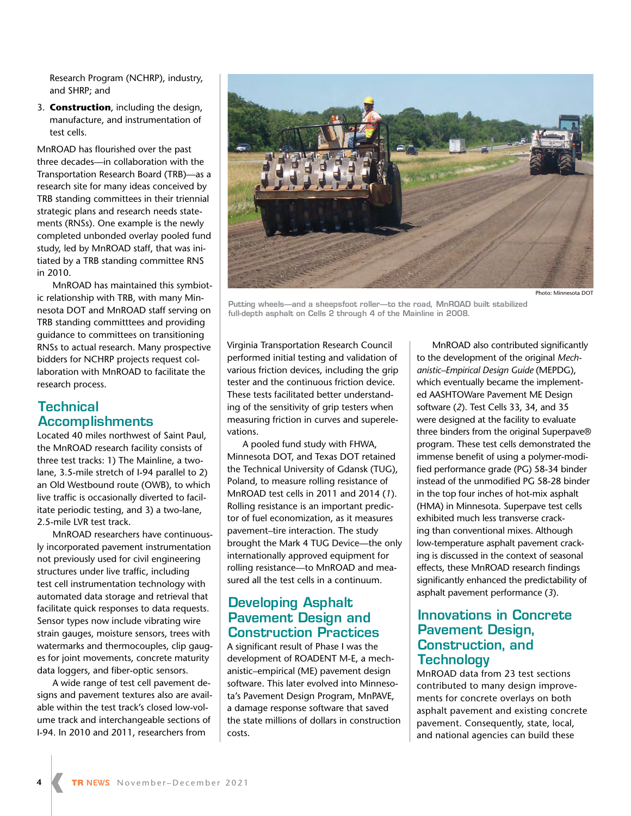Research Program (NCHRP), industry, and SHRP; and

3. **Construction**, including the design, manufacture, and instrumentation of test cells.

MnROAD has flourished over the past three decades—in collaboration with the Transportation Research Board (TRB)—as a research site for many ideas conceived by TRB standing committees in their triennial strategic plans and research needs statements (RNSs). One example is the newly completed unbonded overlay pooled fund study, led by MnROAD staff, that was initiated by a TRB standing committee RNS in 2010.

MnROAD has maintained this symbiotic relationship with TRB, with many Minnesota DOT and MnROAD staff serving on TRB standing committtees and providing guidance to committees on transitioning RNSs to actual research. Many prospective bidders for NCHRP projects request collaboration with MnROAD to facilitate the research process.

# **Technical Accomplishments**

Located 40 miles northwest of Saint Paul, the MnROAD research facility consists of three test tracks: 1) The Mainline, a twolane, 3.5-mile stretch of I-94 parallel to 2) an Old Westbound route (OWB), to which live traffic is occasionally diverted to facilitate periodic testing, and 3) a two-lane, 2.5-mile LVR test track.

MnROAD researchers have continuously incorporated pavement instrumentation not previously used for civil engineering structures under live traffic, including test cell instrumentation technology with automated data storage and retrieval that facilitate quick responses to data requests. Sensor types now include vibrating wire strain gauges, moisture sensors, trees with watermarks and thermocouples, clip gauges for joint movements, concrete maturity data loggers, and fiber-optic sensors.

A wide range of test cell pavement designs and pavement textures also are available within the test track's closed low-volume track and interchangeable sections of I-94. In 2010 and 2011, researchers from

**4**



Photo: Minnesota DOT

**Putting wheels—and a sheepsfoot roller—to the road, MnROAD built stabilized full-depth asphalt on Cells 2 through 4 of the Mainline in 2008.** 

Virginia Transportation Research Council performed initial testing and validation of various friction devices, including the grip tester and the continuous friction device. These tests facilitated better understanding of the sensitivity of grip testers when measuring friction in curves and superelevations.

A pooled fund study with FHWA, Minnesota DOT, and Texas DOT retained the Technical University of Gdansk (TUG), Poland, to measure rolling resistance of MnROAD test cells in 2011 and 2014 (*1*). Rolling resistance is an important predictor of fuel economization, as it measures pavement–tire interaction. The study brought the Mark 4 TUG Device—the only internationally approved equipment for rolling resistance—to MnROAD and measured all the test cells in a continuum.

# **Developing Asphalt Pavement Design and Construction Practices**

A significant result of Phase I was the development of ROADENT M-E, a mechanistic–empirical (ME) pavement design software. This later evolved into Minnesota's Pavement Design Program, MnPAVE, a damage response software that saved the state millions of dollars in construction costs.

MnROAD also contributed significantly to the development of the original *Mechanistic–Empirical Design Guide* (MEPDG), which eventually became the implemented AASHTOWare Pavement ME Design software (*2*). Test Cells 33, 34, and 35 were designed at the facility to evaluate three binders from the original Superpave® program. These test cells demonstrated the immense benefit of using a polymer-modified performance grade (PG) 58-34 binder instead of the unmodified PG 58-28 binder in the top four inches of hot-mix asphalt (HMA) in Minnesota. Superpave test cells exhibited much less transverse cracking than conventional mixes. Although low-temperature asphalt pavement cracking is discussed in the context of seasonal effects, these MnROAD research findings significantly enhanced the predictability of asphalt pavement performance (*3*).

## **Innovations in Concrete Pavement Design, Construction, and Technology**

MnROAD data from 23 test sections contributed to many design improvements for concrete overlays on both asphalt pavement and existing concrete pavement. Consequently, state, local, and national agencies can build these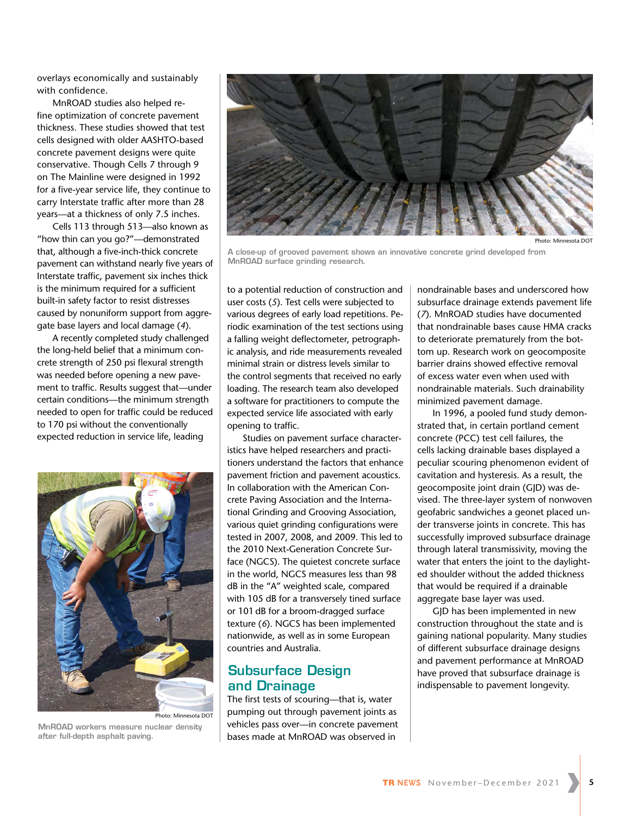overlays economically and sustainably with confidence.

MnROAD studies also helped refine optimization of concrete pavement thickness. These studies showed that test cells designed with older AASHTO-based concrete pavement designs were quite conservative. Though Cells 7 through 9 on The Mainline were designed in 1992 for a five-year service life, they continue to carry Interstate traffic after more than 28 years—at a thickness of only 7.5 inches.

Cells 113 through 513—also known as "how thin can you go?"—demonstrated that, although a five-inch-thick concrete pavement can withstand nearly five years of Interstate traffic, pavement six inches thick is the minimum required for a sufficient built-in safety factor to resist distresses caused by nonuniform support from aggregate base layers and local damage (*4*).

A recently completed study challenged the long-held belief that a minimum concrete strength of 250 psi flexural strength was needed before opening a new pavement to traffic. Results suggest that—under certain conditions—the minimum strength needed to open for traffic could be reduced to 170 psi without the conventionally expected reduction in service life, leading



**MnROAD workers measure nuclear density after full-depth asphalt paving.** 



**A close-up of grooved pavement shows an innovative concrete grind developed from MnROAD surface grinding research.**

to a potential reduction of construction and user costs (*5*). Test cells were subjected to various degrees of early load repetitions. Periodic examination of the test sections using a falling weight deflectometer, petrographic analysis, and ride measurements revealed minimal strain or distress levels similar to the control segments that received no early loading. The research team also developed a software for practitioners to compute the expected service life associated with early opening to traffic.

Studies on pavement surface characteristics have helped researchers and practitioners understand the factors that enhance pavement friction and pavement acoustics. In collaboration with the American Concrete Paving Association and the International Grinding and Grooving Association, various quiet grinding configurations were tested in 2007, 2008, and 2009. This led to the 2010 Next-Generation Concrete Surface (NGCS). The quietest concrete surface in the world, NGCS measures less than 98 dB in the "A" weighted scale, compared with 105 dB for a transversely tined surface or 101 dB for a broom-dragged surface texture (*6*). NGCS has been implemented nationwide, as well as in some European countries and Australia.

## **Subsurface Design and Drainage**

The first tests of scouring—that is, water pumping out through pavement joints as vehicles pass over—in concrete pavement bases made at MnROAD was observed in

nondrainable bases and underscored how subsurface drainage extends pavement life (*7*). MnROAD studies have documented that nondrainable bases cause HMA cracks to deteriorate prematurely from the bottom up. Research work on geocomposite barrier drains showed effective removal of excess water even when used with nondrainable materials. Such drainability minimized pavement damage.

In 1996, a pooled fund study demonstrated that, in certain portland cement concrete (PCC) test cell failures, the cells lacking drainable bases displayed a peculiar scouring phenomenon evident of cavitation and hysteresis. As a result, the geocomposite joint drain (GJD) was devised. The three-layer system of nonwoven geofabric sandwiches a geonet placed under transverse joints in concrete. This has successfully improved subsurface drainage through lateral transmissivity, moving the water that enters the joint to the daylighted shoulder without the added thickness that would be required if a drainable aggregate base layer was used.

GJD has been implemented in new construction throughout the state and is gaining national popularity. Many studies of different subsurface drainage designs and pavement performance at MnROAD have proved that subsurface drainage is indispensable to pavement longevity.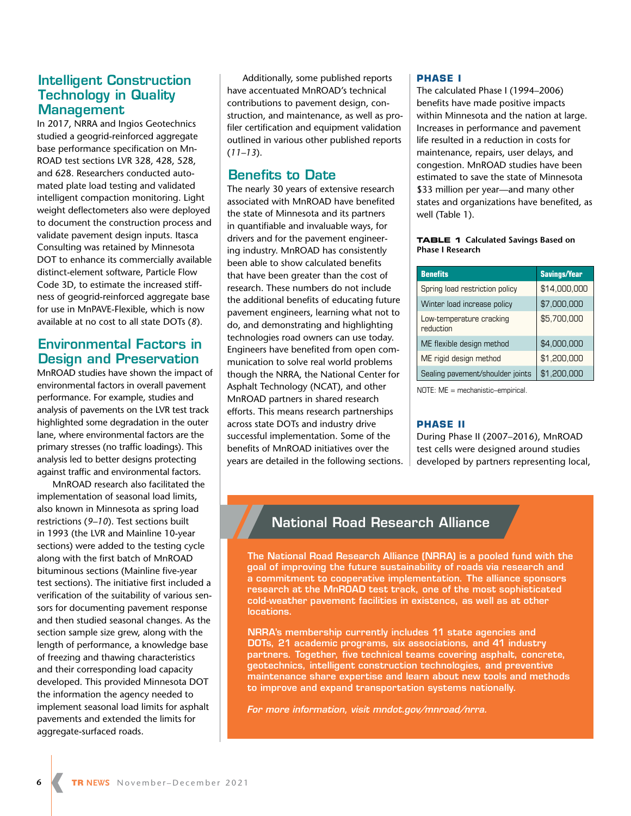## **Intelligent Construction Technology in Quality Management**

In 2017, NRRA and Ingios Geotechnics studied a geogrid-reinforced aggregate base performance specification on Mn-ROAD test sections LVR 328, 428, 528, and 628. Researchers conducted automated plate load testing and validated intelligent compaction monitoring. Light weight deflectometers also were deployed to document the construction process and validate pavement design inputs. Itasca Consulting was retained by Minnesota DOT to enhance its commercially available distinct-element software, Particle Flow Code 3D, to estimate the increased stiffness of geogrid-reinforced aggregate base for use in MnPAVE-Flexible, which is now available at no cost to all state DOTs (*8*).

## **Environmental Factors in Design and Preservation**

MnROAD studies have shown the impact of environmental factors in overall pavement performance. For example, studies and analysis of pavements on the LVR test track highlighted some degradation in the outer lane, where environmental factors are the primary stresses (no traffic loadings). This analysis led to better designs protecting against traffic and environmental factors.

MnROAD research also facilitated the implementation of seasonal load limits, also known in Minnesota as spring load restrictions (*9–10*). Test sections built in 1993 (the LVR and Mainline 10-year sections) were added to the testing cycle along with the first batch of MnROAD bituminous sections (Mainline five-year test sections). The initiative first included a verification of the suitability of various sensors for documenting pavement response and then studied seasonal changes. As the section sample size grew, along with the length of performance, a knowledge base of freezing and thawing characteristics and their corresponding load capacity developed. This provided Minnesota DOT the information the agency needed to implement seasonal load limits for asphalt pavements and extended the limits for aggregate-surfaced roads.

Additionally, some published reports have accentuated MnROAD's technical contributions to pavement design, construction, and maintenance, as well as profiler certification and equipment validation outlined in various other published reports (*11–13*).

# **Benefits to Date**

The nearly 30 years of extensive research associated with MnROAD have benefited the state of Minnesota and its partners in quantifiable and invaluable ways, for drivers and for the pavement engineering industry. MnROAD has consistently been able to show calculated benefits that have been greater than the cost of research. These numbers do not include the additional benefits of educating future pavement engineers, learning what not to do, and demonstrating and highlighting technologies road owners can use today. Engineers have benefited from open communication to solve real world problems though the NRRA, the National Center for Asphalt Technology (NCAT), and other MnROAD partners in shared research efforts. This means research partnerships across state DOTs and industry drive successful implementation. Some of the benefits of MnROAD initiatives over the years are detailed in the following sections.

## **PHASE I**

The calculated Phase I (1994–2006) benefits have made positive impacts within Minnesota and the nation at large. Increases in performance and pavement life resulted in a reduction in costs for maintenance, repairs, user delays, and congestion. MnROAD studies have been estimated to save the state of Minnesota \$33 million per year—and many other states and organizations have benefited, as well (Table 1).

#### **TABLE 1 Calculated Savings Based on Phase I Research**

| <b>Benefits</b>                       | <b>Savings/Year</b> |
|---------------------------------------|---------------------|
| Spring load restriction policy        | \$14,000,000        |
| Winter load increase policy           | \$7,000,000         |
| Low-temperature cracking<br>reduction | \$5,700,000         |
| ME flexible design method             | \$4,000,000         |
| ME rigid design method                | \$1,200,000         |
| Sealing pavement/shoulder joints      | \$1,200,000         |

NOTE: ME = mechanistic–empirical.

## **PHASE II**

During Phase II (2007–2016), MnROAD test cells were designed around studies developed by partners representing local,

# **National Road Research Alliance**

**The National Road Research Alliance (NRRA) is a pooled fund with the goal of improving the future sustainability of roads via research and a commitment to cooperative implementation. The alliance sponsors research at the MnROAD test track, one of the most sophisticated cold-weather pavement facilities in existence, as well as at other locations.** 

**NRRA's membership currently includes 11 state agencies and DOTs, 21 academic programs, six associations, and 41 industry partners. Together, five technical teams covering asphalt, concrete, geotechnics, intelligent construction technologies, and preventive maintenance share expertise and learn about new tools and methods to improve and expand transportation systems nationally.** 

*For more information, visit [mndot.gov/mnroad/nrra.](http://mndot.gov/mnroad/nrra)*

**6**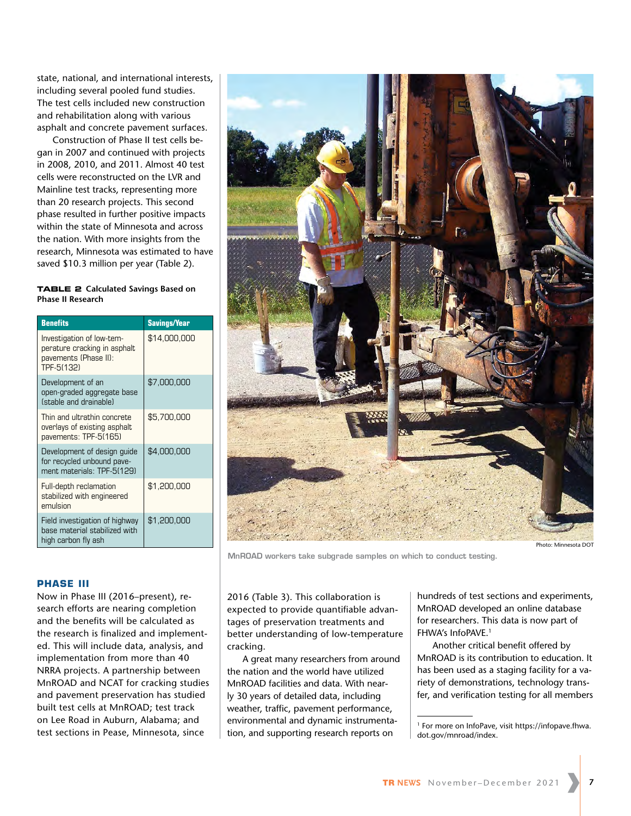state, national, and international interests, including several pooled fund studies. The test cells included new construction and rehabilitation along with various asphalt and concrete pavement surfaces.

Construction of Phase II test cells began in 2007 and continued with projects in 2008, 2010, and 2011. Almost 40 test cells were reconstructed on the LVR and Mainline test tracks, representing more than 20 research projects. This second phase resulted in further positive impacts within the state of Minnesota and across the nation. With more insights from the research, Minnesota was estimated to have saved \$10.3 million per year (Table 2).

#### **TABLE 2 Calculated Savings Based on Phase II Research**

| <b>Benefits</b>                                                                                  | <b>Savings/Year</b> |
|--------------------------------------------------------------------------------------------------|---------------------|
| Investigation of low-tem-<br>perature cracking in asphalt<br>pavements (Phase II):<br>TPF-5(132) | \$14,000,000        |
| Development of an<br>open-graded aggregate base<br>(stable and drainable)                        | \$7,000,000         |
| Thin and ultrathin concrete<br>overlays of existing asphalt<br>pavements: TPF-5(165)             | \$5,700,000         |
| Development of design guide<br>for recycled unbound pave-<br>ment materials: TPF-5(129)          | \$4,000,000         |
| Full-depth reclamation<br>stabilized with engineered<br>emulsion                                 | \$1,200,000         |
| Field investigation of highway<br>base material stabilized with<br>high carbon fly ash           | \$1,200,000         |

#### **PHASE III**

Now in Phase III (2016–present), research efforts are nearing completion and the benefits will be calculated as the research is finalized and implemented. This will include data, analysis, and implementation from more than 40 NRRA projects. A partnership between MnROAD and NCAT for cracking studies and pavement preservation has studied built test cells at MnROAD; test track on Lee Road in Auburn, Alabama; and test sections in Pease, Minnesota, since



**MnROAD workers take subgrade samples on which to conduct testing.**

2016 (Table 3). This collaboration is expected to provide quantifiable advantages of preservation treatments and better understanding of low-temperature

A great many researchers from around the nation and the world have utilized MnROAD facilities and data. With nearly 30 years of detailed data, including weather, traffic, pavement performance, environmental and dynamic instrumentation, and supporting research reports on

cracking.

hundreds of test sections and experiments, MnROAD developed an online database for researchers. This data is now part of FHWA's InfoPAVE.1

Another critical benefit offered by MnROAD is its contribution to education. It has been used as a staging facility for a variety of demonstrations, technology transfer, and verification testing for all members

<sup>1</sup> For more on InfoPave, visit [https://infopave.fhwa.](https://infopave.fhwa.dot.gov/mnroad/index) [dot.gov/mnroad/index](https://infopave.fhwa.dot.gov/mnroad/index).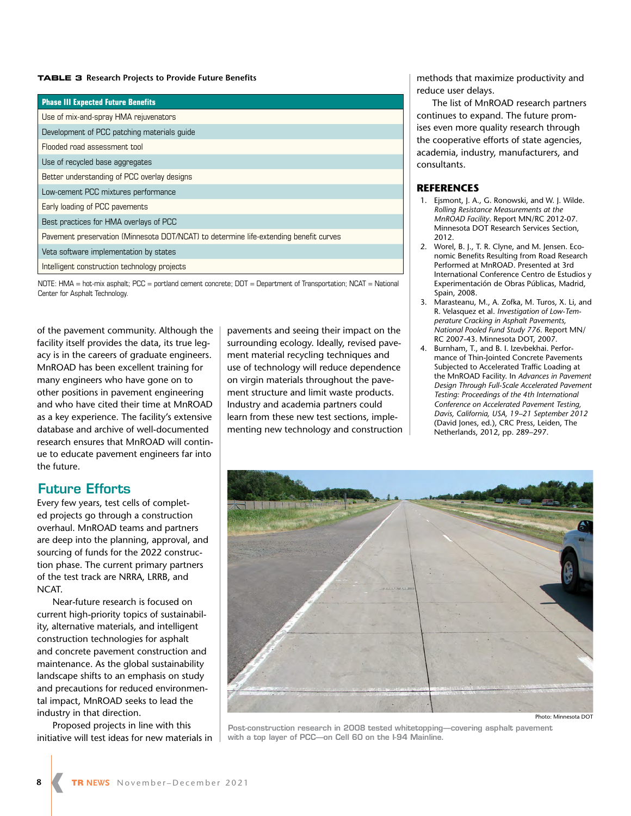#### **TABLE 3 Research Projects to Provide Future Benefits**

| <b>Phase III Expected Future Benefits</b>                                                                        |
|------------------------------------------------------------------------------------------------------------------|
| Use of mix-and-spray HMA rejuvenators                                                                            |
| Development of PCC patching materials guide                                                                      |
| Flooded road assessment tool                                                                                     |
| Use of recycled base aggregates                                                                                  |
| Better understanding of PCC overlay designs                                                                      |
| Low-cement PCC mixtures performance                                                                              |
| Early loading of PCC pavements                                                                                   |
| Best practices for HMA overlays of PCC                                                                           |
| Pavement preservation (Minnesota DOT/NCAT) to determine life-extending benefit curves                            |
| Veta software implementation by states                                                                           |
| Intelligent construction technology projects                                                                     |
| NOTE: HMA = hot-mix asphalt; PCC = portland cement concrete; DOT = Department of Transportation; NCAT = National |

of the pavement community. Although the facility itself provides the data, its true legacy is in the careers of graduate engineers. MnROAD has been excellent training for many engineers who have gone on to other positions in pavement engineering and who have cited their time at MnROAD as a key experience. The facility's extensive database and archive of well-documented research ensures that MnROAD will continue to educate pavement engineers far into the future.

## **Future Efforts**

Center for Asphalt Technology.

Every few years, test cells of completed projects go through a construction overhaul. MnROAD teams and partners are deep into the planning, approval, and sourcing of funds for the 2022 construction phase. The current primary partners of the test track are NRRA, LRRB, and NCAT.

Near-future research is focused on current high-priority topics of sustainability, alternative materials, and intelligent construction technologies for asphalt and concrete pavement construction and maintenance. As the global sustainability landscape shifts to an emphasis on study and precautions for reduced environmental impact, MnROAD seeks to lead the industry in that direction.

Proposed projects in line with this initiative will test ideas for new materials in

**8**

pavements and seeing their impact on the surrounding ecology. Ideally, revised pavement material recycling techniques and use of technology will reduce dependence on virgin materials throughout the pavement structure and limit waste products. Industry and academia partners could learn from these new test sections, implementing new technology and construction methods that maximize productivity and reduce user delays.

The list of MnROAD research partners continues to expand. The future promises even more quality research through the cooperative efforts of state agencies, academia, industry, manufacturers, and consultants.

## **REFERENCES**

- 1. Ejsmont, J. A., G. Ronowski, and W. J. Wilde. *Rolling Resistance Measurements at the MnROAD Facility*. Report MN/RC 2012-07. Minnesota DOT Research Services Section, 2012.
- 2. Worel, B. J., T. R. Clyne, and M. Jensen. Economic Benefits Resulting from Road Research Performed at MnROAD. Presented at 3rd International Conference Centro de Estudios y Experimentación de Obras Públicas, Madrid, Spain, 2008.
- 3. Marasteanu, M., A. Zofka, M. Turos, X. Li, and R. Velasquez et al. *Investigation of Low-Temperature Cracking in Asphalt Pavements, National Pooled Fund Study 776*. Report MN/ RC 2007-43. Minnesota DOT, 2007.
- 4. Burnham, T., and B. I. Izevbekhai. Performance of Thin-Jointed Concrete Pavements Subjected to Accelerated Traffic Loading at the MnROAD Facility. In *Advances in Pavement Design Through Full-Scale Accelerated Pavement Testing: Proceedings of the 4th International Conference on Accelerated Pavement Testing, Davis, California, USA, 19–21 September 2012* (David Jones, ed.), CRC Press, Leiden, The Netherlands, 2012, pp. 289–297.



**Post-construction research in 2008 tested whitetopping—covering asphalt pavement with a top layer of PCC—on Cell 60 on the I-94 Mainline.**